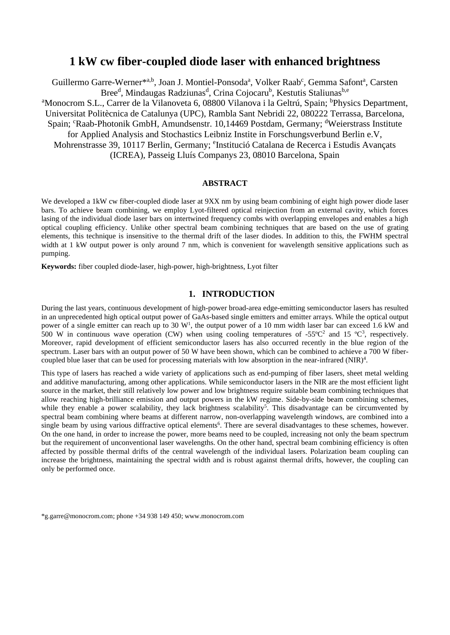# **1 kW cw fiber-coupled diode laser with enhanced brightness**

Guillermo Garre-Werner<sup>\*a,b</sup>, Joan J. Montiel-Ponsoda<sup>a</sup>, Volker Raab<sup>c</sup>, Gemma Safont<sup>a</sup>, Carsten Bree<sup>d</sup>, Mindaugas Radziunas<sup>d</sup>, Crina Cojocaru<sup>b</sup>, Kestutis Staliunas<sup>b,e</sup> <sup>a</sup>Monocrom S.L., Carrer de la Vilanoveta 6, 08800 Vilanova i la Geltrú, Spain; <sup>b</sup>Physics Department, Universitat Politècnica de Catalunya (UPC), Rambla Sant Nebridi 22, 080222 Terrassa, Barcelona, Spain; <sup>c</sup>Raab-Photonik GmbH, Amundsenstr. 10,14469 Postdam, Germany; <sup>d</sup>Weierstrass Institute for Applied Analysis and Stochastics Leibniz Instite in Forschungsverbund Berlin e.V, Mohrenstrasse 39, 10117 Berlin, Germany; <sup>e</sup>Institució Catalana de Recerca i Estudis Avançats (ICREA), Passeig Lluís Companys 23, 08010 Barcelona, Spain

### **ABSTRACT**

We developed a 1kW cw fiber-coupled diode laser at 9XX nm by using beam combining of eight high power diode laser bars. To achieve beam combining, we employ Lyot-filtered optical reinjection from an external cavity, which forces lasing of the individual diode laser bars on intertwined frequency combs with overlapping envelopes and enables a high optical coupling efficiency. Unlike other spectral beam combining techniques that are based on the use of grating elements, this technique is insensitive to the thermal drift of the laser diodes. In addition to this, the FWHM spectral width at 1 kW output power is only around 7 nm, which is convenient for wavelength sensitive applications such as pumping.

**Keywords:** fiber coupled diode-laser, high-power, high-brightness, Lyot filter

### **1. INTRODUCTION**

During the last years, continuous development of high-power broad-area edge-emitting semiconductor lasers has resulted in an unprecedented high optical output power of GaAs-based single emitters and emitter arrays. While the optical output power of a single emitter can reach up to 30  $W<sup>1</sup>$ , the output power of a 10 mm width laser bar can exceed 1.6 kW and 500 W in continuous wave operation (CW) when using cooling temperatures of  $-55^{\circ}C^2$  and 15  $^{\circ}C^3$ , respectively. Moreover, rapid development of efficient semiconductor lasers has also occurred recently in the blue region of the spectrum. Laser bars with an output power of 50 W have been shown, which can be combined to achieve a 700 W fibercoupled blue laser that can be used for processing materials with low absorption in the near-infrared  $(NIR)^4$ .

This type of lasers has reached a wide variety of applications such as end-pumping of fiber lasers, sheet metal welding and additive manufacturing, among other applications. While semiconductor lasers in the NIR are the most efficient light source in the market, their still relatively low power and low brightness require suitable beam combining techniques that allow reaching high-brilliance emission and output powers in the kW regime. Side-by-side beam combining schemes, while they enable a power scalability, they lack brightness scalability<sup>5</sup>. This disadvantage can be circumvented by spectral beam combining where beams at different narrow, non-overlapping wavelength windows, are combined into a single beam by using various diffractive optical elements<sup>6</sup>. There are several disadvantages to these schemes, however. On the one hand, in order to increase the power, more beams need to be coupled, increasing not only the beam spectrum but the requirement of unconventional laser wavelengths. On the other hand, spectral beam combining efficiency is often affected by possible thermal drifts of the central wavelength of the individual lasers. Polarization beam coupling can increase the brightness, maintaining the spectral width and is robust against thermal drifts, however, the coupling can only be performed once.

<sup>\*</sup>g.garre@monocrom.com; phone +34 938 149 450; www.monocrom.com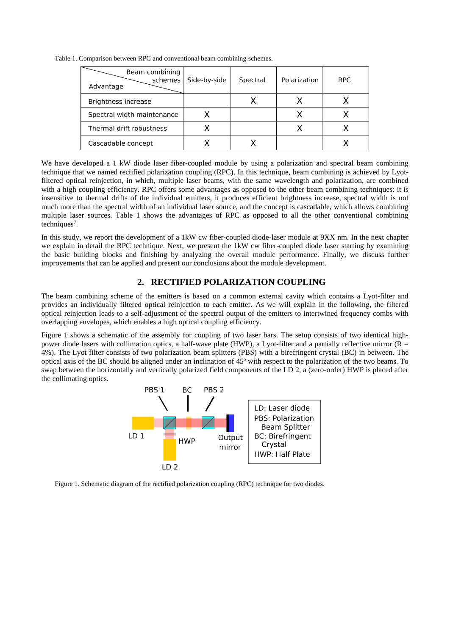| Beam combining<br>schemes<br>Advantage | Side-by-side | Spectral | Polarization | <b>RPC</b> |
|----------------------------------------|--------------|----------|--------------|------------|
| Brightness increase                    |              |          |              |            |
| Spectral width maintenance             |              |          |              |            |
| Thermal drift robustness               |              |          |              |            |
| Cascadable concept                     |              |          |              |            |

Table 1. Comparison between RPC and conventional beam combining schemes.

We have developed a 1 kW diode laser fiber-coupled module by using a polarization and spectral beam combining technique that we named rectified polarization coupling (RPC). In this technique, beam combining is achieved by Lyotfiltered optical reinjection, in which, multiple laser beams, with the same wavelength and polarization, are combined with a high coupling efficiency. RPC offers some advantages as opposed to the other beam combining techniques: it is insensitive to thermal drifts of the individual emitters, it produces efficient brightness increase, spectral width is not much more than the spectral width of an individual laser source, and the concept is cascadable, which allows combining multiple laser sources. Table 1 shows the advantages of RPC as opposed to all the other conventional combining techniques<sup>7</sup>.

In this study, we report the development of a 1kW cw fiber-coupled diode-laser module at 9XX nm. In the next chapter we explain in detail the RPC technique. Next, we present the 1kW cw fiber-coupled diode laser starting by examining the basic building blocks and finishing by analyzing the overall module performance. Finally, we discuss further improvements that can be applied and present our conclusions about the module development.

# **2. RECTIFIED POLARIZATION COUPLING**

The beam combining scheme of the emitters is based on a common external cavity which contains a Lyot-filter and provides an individually filtered optical reinjection to each emitter. As we will explain in the following, the filtered optical reinjection leads to a self-adjustment of the spectral output of the emitters to intertwined frequency combs with overlapping envelopes, which enables a high optical coupling efficiency.

Figure 1 shows a schematic of the assembly for coupling of two laser bars. The setup consists of two identical highpower diode lasers with collimation optics, a half-wave plate (HWP), a Lyot-filter and a partially reflective mirror ( $\overline{R}$  = 4%). The Lyot filter consists of two polarization beam splitters (PBS) with a birefringent crystal (BC) in between. The optical axis of the BC should be aligned under an inclination of 45º with respect to the polarization of the two beams. To swap between the horizontally and vertically polarized field components of the LD 2, a (zero-order) HWP is placed after the collimating optics.



Figure 1. Schematic diagram of the rectified polarization coupling (RPC) technique for two diodes.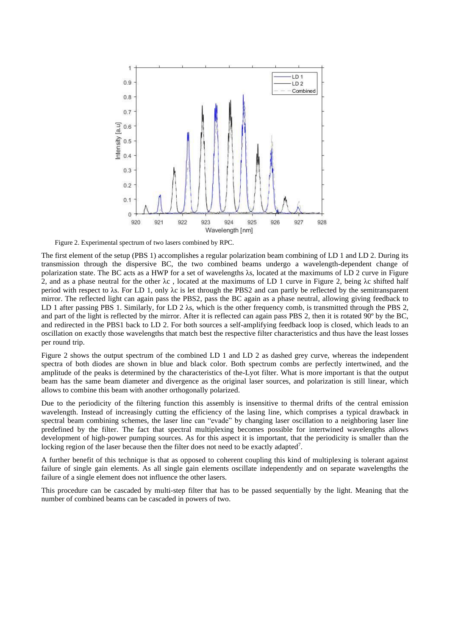

Figure 2. Experimental spectrum of two lasers combined by RPC.

The first element of the setup (PBS 1) accomplishes a regular polarization beam combining of LD 1 and LD 2. During its transmission through the dispersive BC, the two combined beams undergo a wavelength-dependent change of polarization state. The BC acts as a HWP for a set of wavelengths  $\lambda$ s, located at the maximums of LD 2 curve in Figure 2, and as a phase neutral for the other  $\lambda c$ , located at the maximums of LD 1 curve in Figure 2, being  $\lambda c$  shifted half period with respect to λs. For LD 1, only λc is let through the PBS2 and can partly be reflected by the semitransparent mirror. The reflected light can again pass the PBS2, pass the BC again as a phase neutral, allowing giving feedback to LD 1 after passing PBS 1. Similarly, for LD 2  $\lambda$ s, which is the other frequency comb, is transmitted through the PBS 2, and part of the light is reflected by the mirror. After it is reflected can again pass PBS 2, then it is rotated 90º by the BC, and redirected in the PBS1 back to LD 2. For both sources a self-amplifying feedback loop is closed, which leads to an oscillation on exactly those wavelengths that match best the respective filter characteristics and thus have the least losses per round trip.

Figure 2 shows the output spectrum of the combined LD 1 and LD 2 as dashed grey curve, whereas the independent spectra of both diodes are shown in blue and black color. Both spectrum combs are perfectly intertwined, and the amplitude of the peaks is determined by the characteristics of the-Lyot filter. What is more important is that the output beam has the same beam diameter and divergence as the original laser sources, and polarization is still linear, which allows to combine this beam with another orthogonally polarized.

Due to the periodicity of the filtering function this assembly is insensitive to thermal drifts of the central emission wavelength. Instead of increasingly cutting the efficiency of the lasing line, which comprises a typical drawback in spectral beam combining schemes, the laser line can "evade" by changing laser oscillation to a neighboring laser line predefined by the filter. The fact that spectral multiplexing becomes possible for intertwined wavelengths allows development of high-power pumping sources. As for this aspect it is important, that the periodicity is smaller than the locking region of the laser because then the filter does not need to be exactly adapted<sup>7</sup>.

A further benefit of this technique is that as opposed to coherent coupling this kind of multiplexing is tolerant against failure of single gain elements. As all single gain elements oscillate independently and on separate wavelengths the failure of a single element does not influence the other lasers.

This procedure can be cascaded by multi-step filter that has to be passed sequentially by the light. Meaning that the number of combined beams can be cascaded in powers of two.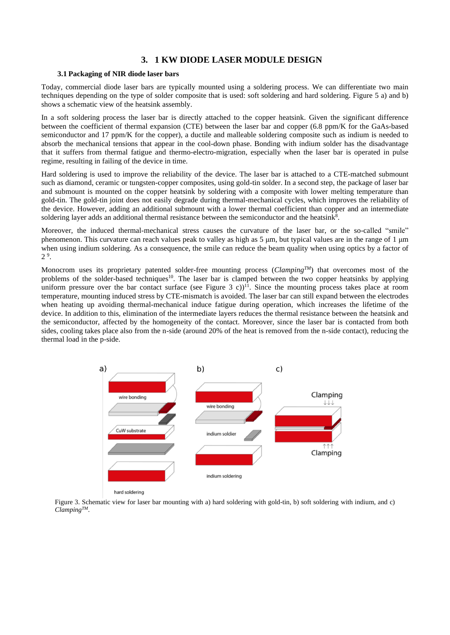## **3. 1 KW DIODE LASER MODULE DESIGN**

#### **3.1 Packaging of NIR diode laser bars**

Today, commercial diode laser bars are typically mounted using a soldering process. We can differentiate two main techniques depending on the type of solder composite that is used: soft soldering and hard soldering. Figure 5 a) and b) shows a schematic view of the heatsink assembly.

In a soft soldering process the laser bar is directly attached to the copper heatsink. Given the significant difference between the coefficient of thermal expansion (CTE) between the laser bar and copper (6.8 ppm/K for the GaAs-based semiconductor and 17 ppm/K for the copper), a ductile and malleable soldering composite such as indium is needed to absorb the mechanical tensions that appear in the cool-down phase. Bonding with indium solder has the disadvantage that it suffers from thermal fatigue and thermo-electro-migration, especially when the laser bar is operated in pulse regime, resulting in failing of the device in time.

Hard soldering is used to improve the reliability of the device. The laser bar is attached to a CTE-matched submount such as diamond, ceramic or tungsten-copper composites, using gold-tin solder. In a second step, the package of laser bar and submount is mounted on the copper heatsink by soldering with a composite with lower melting temperature than gold-tin. The gold-tin joint does not easily degrade during thermal-mechanical cycles, which improves the reliability of the device. However, adding an additional submount with a lower thermal coefficient than copper and an intermediate soldering layer adds an additional thermal resistance between the semiconductor and the heatsink<sup>8</sup>.

Moreover, the induced thermal-mechanical stress causes the curvature of the laser bar, or the so-called "smile" phenomenon. This curvature can reach values peak to valley as high as 5 μm, but typical values are in the range of 1 μm when using indium soldering. As a consequence, the smile can reduce the beam quality when using optics by a factor of 2 9 .

Monocrom uses its proprietary patented solder-free mounting process (*ClampingTM*) that overcomes most of the problems of the solder-based techniques<sup>10</sup>. The laser bar is clamped between the two copper heatsinks by applying uniform pressure over the bar contact surface (see Figure 3 c))<sup>11</sup>. Since the mounting process takes place at room temperature, mounting induced stress by CTE-mismatch is avoided. The laser bar can still expand between the electrodes when heating up avoiding thermal-mechanical induce fatigue during operation, which increases the lifetime of the device. In addition to this, elimination of the intermediate layers reduces the thermal resistance between the heatsink and the semiconductor, affected by the homogeneity of the contact. Moreover, since the laser bar is contacted from both sides, cooling takes place also from the n-side (around 20% of the heat is removed from the n-side contact), reducing the thermal load in the p-side.



Figure 3. Schematic view for laser bar mounting with a) hard soldering with gold-tin, b) soft soldering with indium, and c) *ClampingTM*.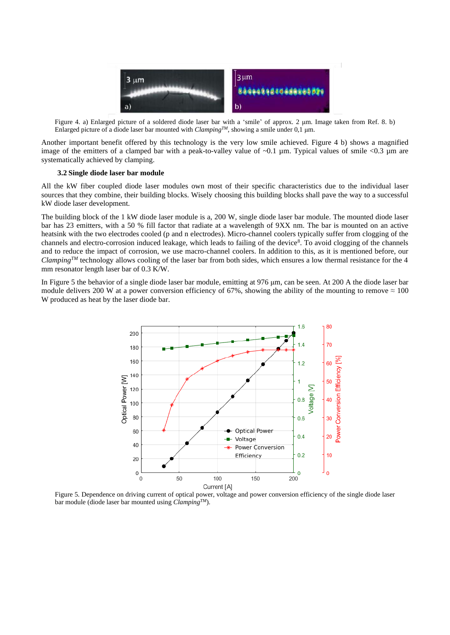

Figure 4. a) Enlarged picture of a soldered diode laser bar with a 'smile' of approx. 2 μm. Image taken from Ref. 8. b) Enlarged picture of a diode laser bar mounted with *ClampingTM*, showing a smile under 0,1 μm.

Another important benefit offered by this technology is the very low smile achieved. Figure 4 b) shows a magnified image of the emitters of a clamped bar with a peak-to-valley value of  $\sim 0.1$  µm. Typical values of smile  $\lt 0.3$  µm are systematically achieved by clamping.

#### **3.2 Single diode laser bar module**

All the kW fiber coupled diode laser modules own most of their specific characteristics due to the individual laser sources that they combine, their building blocks. Wisely choosing this building blocks shall pave the way to a successful kW diode laser development.

The building block of the 1 kW diode laser module is a, 200 W, single diode laser bar module. The mounted diode laser bar has 23 emitters, with a 50 % fill factor that radiate at a wavelength of 9XX nm. The bar is mounted on an active heatsink with the two electrodes cooled (p and n electrodes). Micro-channel coolers typically suffer from clogging of the channels and electro-corrosion induced leakage, which leads to failing of the device<sup>8</sup>. To avoid clogging of the channels and to reduce the impact of corrosion, we use macro-channel coolers. In addition to this, as it is mentioned before, our *ClampingTM* technology allows cooling of the laser bar from both sides, which ensures a low thermal resistance for the 4 mm resonator length laser bar of 0.3 K/W.

In Figure 5 the behavior of a single diode laser bar module, emitting at 976 μm, can be seen. At 200 A the diode laser bar module delivers 200 W at a power conversion efficiency of 67%, showing the ability of the mounting to remove  $\approx 100$ W produced as heat by the laser diode bar.



Figure 5. Dependence on driving current of optical power, voltage and power conversion efficiency of the single diode laser bar module (diode laser bar mounted using *ClampingTM*).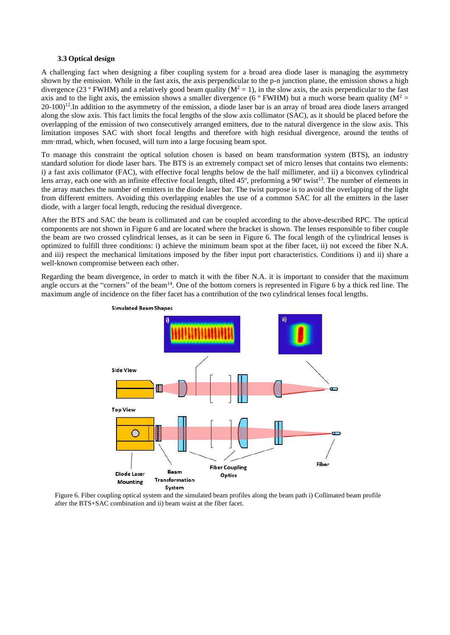#### **3.3 Optical design**

A challenging fact when designing a fiber coupling system for a broad area diode laser is managing the asymmetry shown by the emission. While in the fast axis, the axis perpendicular to the p-n junction plane, the emission shows a high divergence (23 ° FWHM) and a relatively good beam quality ( $M^2 = 1$ ), in the slow axis, the axis perpendicular to the fast axis and to the light axis, the emission shows a smaller divergence (6 ° FWHM) but a much worse beam quality ( $M^2$  = 20-100)<sup>12</sup>. In addition to the asymmetry of the emission, a diode laser bar is an array of broad area diode lasers arranged along the slow axis. This fact limits the focal lengths of the slow axis collimator (SAC), as it should be placed before the overlapping of the emission of two consecutively arranged emitters, due to the natural divergence in the slow axis. This limitation imposes SAC with short focal lengths and therefore with high residual divergence, around the tenths of mm·mrad, which, when focused, will turn into a large focusing beam spot.

To manage this constraint the optical solution chosen is based on beam transformation system (BTS), an industry standard solution for diode laser bars. The BTS is an extremely compact set of micro lenses that contains two elements: i) a fast axis collimator (FAC), with effective focal lengths below de the half millimeter, and ii) a biconvex cylindrical lens array, each one with an infinite effective focal length, tilted 45°, preforming a 90° twist<sup>13</sup>. The number of elements in the array matches the number of emitters in the diode laser bar. The twist purpose is to avoid the overlapping of the light from different emitters. Avoiding this overlapping enables the use of a common SAC for all the emitters in the laser diode, with a larger focal length, reducing the residual divergence.

After the BTS and SAC the beam is collimated and can be coupled according to the above-described RPC. The optical components are not shown in Figure 6 and are located where the bracket is shown. The lenses responsible to fiber couple the beam are two crossed cylindrical lenses, as it can be seen in Figure 6. The focal length of the cylindrical lenses is optimized to fulfill three conditions: i) achieve the minimum beam spot at the fiber facet, ii) not exceed the fiber N.A. and iii) respect the mechanical limitations imposed by the fiber input port characteristics. Conditions i) and ii) share a well-known compromise between each other.

Regarding the beam divergence, in order to match it with the fiber N.A. it is important to consider that the maximum angle occurs at the "corners" of the beam<sup>14</sup>. One of the bottom corners is represented in Figure 6 by a thick red line. The maximum angle of incidence on the fiber facet has a contribution of the two cylindrical lenses focal lengths.



Figure 6. Fiber coupling optical system and the simulated beam profiles along the beam path i) Collimated beam profile after the BTS+SAC combination and ii) beam waist at the fiber facet.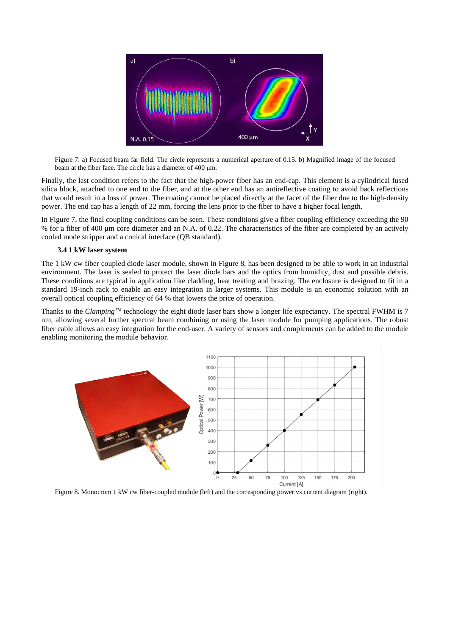

Figure 7. a) Focused beam far field. The circle represents a numerical aperture of 0.15. b) Magnified image of the focused beam at the fiber face. The circle has a diameter of 400 μm.

Finally, the last condition refers to the fact that the high-power fiber has an end-cap. This element is a cylindrical fused silica block, attached to one end to the fiber, and at the other end has an antireflective coating to avoid back reflections that would result in a loss of power. The coating cannot be placed directly at the facet of the fiber due to the high-density power. The end cap has a length of 22 mm, forcing the lens prior to the fiber to have a higher focal length.

In Figure 7, the final coupling conditions can be seen. These conditions give a fiber coupling efficiency exceeding the 90 % for a fiber of 400 μm core diameter and an N.A. of 0.22. The characteristics of the fiber are completed by an actively cooled mode stripper and a conical interface (QB standard).

#### **3.4 1 kW laser system**

The 1 kW cw fiber coupled diode laser module, shown in Figure 8, has been designed to be able to work in an industrial environment. The laser is sealed to protect the laser diode bars and the optics from humidity, dust and possible debris. These conditions are typical in application like cladding, heat treating and brazing. The enclosure is designed to fit in a standard 19-inch rack to enable an easy integration in larger systems. This module is an economic solution with an overall optical coupling efficiency of 64 % that lowers the price of operation.

Thanks to the *ClampingTM* technology the eight diode laser bars show a longer life expectancy. The spectral FWHM is 7 nm, allowing several further spectral beam combining or using the laser module for pumping applications. The robust fiber cable allows an easy integration for the end-user. A variety of sensors and complements can be added to the module enabling monitoring the module behavior.



Figure 8. Monocrom 1 kW cw fiber-coupled module (left) and the corresponding power vs current diagram (right).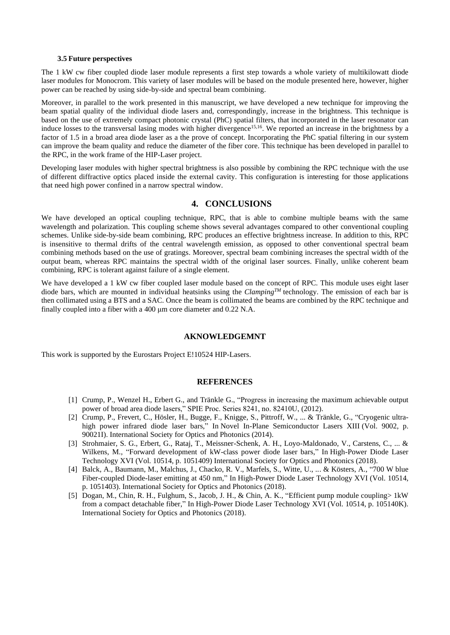#### **3.5 Future perspectives**

The 1 kW cw fiber coupled diode laser module represents a first step towards a whole variety of multikilowatt diode laser modules for Monocrom. This variety of laser modules will be based on the module presented here, however, higher power can be reached by using side-by-side and spectral beam combining.

Moreover, in parallel to the work presented in this manuscript, we have developed a new technique for improving the beam spatial quality of the individual diode lasers and, correspondingly, increase in the brightness. This technique is based on the use of extremely compact photonic crystal (PhC) spatial filters, that incorporated in the laser resonator can induce losses to the transversal lasing modes with higher divergence<sup>15,16</sup>. We reported an increase in the brightness by a factor of 1.5 in a broad area diode laser as a the prove of concept. Incorporating the PhC spatial filtering in our system can improve the beam quality and reduce the diameter of the fiber core. This technique has been developed in parallel to the RPC, in the work frame of the HIP-Laser project.

Developing laser modules with higher spectral brightness is also possible by combining the RPC technique with the use of different diffractive optics placed inside the external cavity. This configuration is interesting for those applications that need high power confined in a narrow spectral window.

# **4. CONCLUSIONS**

We have developed an optical coupling technique, RPC, that is able to combine multiple beams with the same wavelength and polarization. This coupling scheme shows several advantages compared to other conventional coupling schemes. Unlike side-by-side beam combining, RPC produces an effective brightness increase. In addition to this, RPC is insensitive to thermal drifts of the central wavelength emission, as opposed to other conventional spectral beam combining methods based on the use of gratings. Moreover, spectral beam combining increases the spectral width of the output beam, whereas RPC maintains the spectral width of the original laser sources. Finally, unlike coherent beam combining, RPC is tolerant against failure of a single element.

We have developed a 1 kW cw fiber coupled laser module based on the concept of RPC. This module uses eight laser diode bars, which are mounted in individual heatsinks using the *ClampingTM* technology. The emission of each bar is then collimated using a BTS and a SAC. Once the beam is collimated the beams are combined by the RPC technique and finally coupled into a fiber with a 400 μm core diameter and 0.22 N.A.

#### **AKNOWLEDGEMNT**

This work is supported by the Eurostars Project E!10524 HIP-Lasers.

#### **REFERENCES**

- [1] Crump, P., Wenzel H., Erbert G., and Tränkle G., "Progress in increasing the maximum achievable output power of broad area diode lasers," SPIE Proc. Series 8241, no. 82410U, (2012).
- [2] Crump, P., Frevert, C., Hösler, H., Bugge, F., Knigge, S., Pittroff, W., ... & Tränkle, G., "Cryogenic ultrahigh power infrared diode laser bars," In Novel In-Plane Semiconductor Lasers XIII (Vol. 9002, p. 90021I). International Society for Optics and Photonics (2014).
- [3] Strohmaier, S. G., Erbert, G., Rataj, T., Meissner-Schenk, A. H., Loyo-Maldonado, V., Carstens, C., ... & Wilkens, M., "Forward development of kW-class power diode laser bars," In High-Power Diode Laser Technology XVI (Vol. 10514, p. 1051409) International Society for Optics and Photonics (2018).
- [4] Balck, A., Baumann, M., Malchus, J., Chacko, R. V., Marfels, S., Witte, U., ... & Kösters, A., "700 W blue Fiber-coupled Diode-laser emitting at 450 nm," In High-Power Diode Laser Technology XVI (Vol. 10514, p. 1051403). International Society for Optics and Photonics (2018).
- [5] Dogan, M., Chin, R. H., Fulghum, S., Jacob, J. H., & Chin, A. K., "Efficient pump module coupling> 1kW from a compact detachable fiber," In High-Power Diode Laser Technology XVI (Vol. 10514, p. 105140K). International Society for Optics and Photonics (2018).